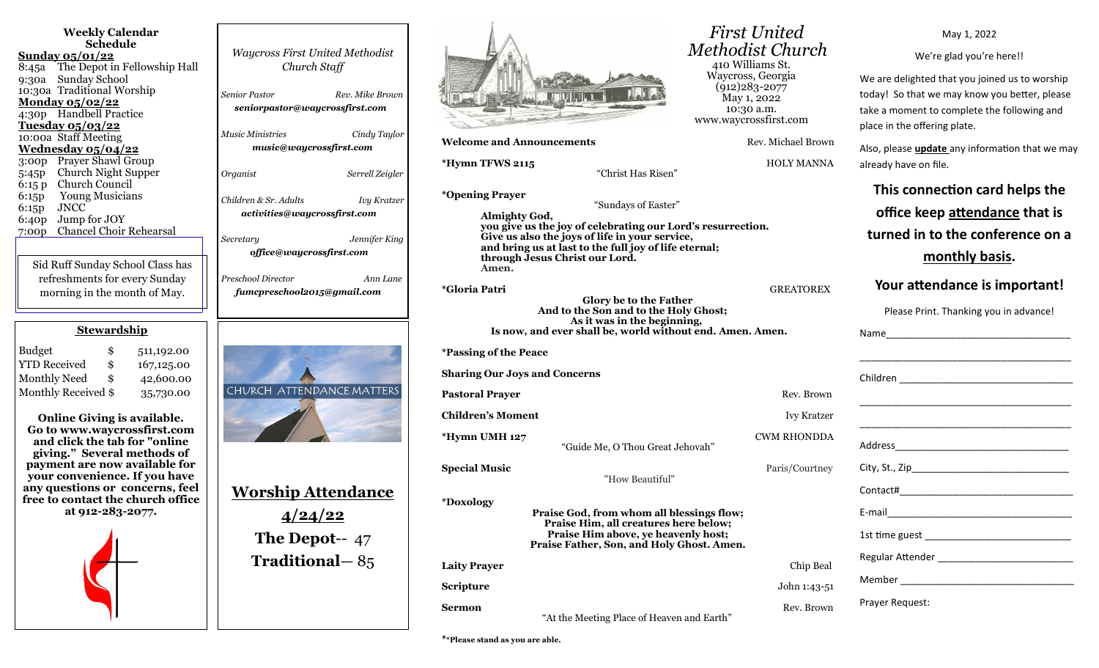| <b>Weekly Calendar</b><br><b>Schedule</b><br>Sunday 05/01/22<br>8:45a The Depot in Fellowship Hall<br>Sunday School<br>9:30a<br>10:30a Traditional Worship<br>Monday 05/02/22<br>4:30p Handbell Practice<br><u>Tuesday 05/03/22</u><br>10:00a Staff Meeting<br><u>Wednesday 05/04/22</u><br>3:00p Prayer Shawl Group<br>Church Night Supper<br>5:45p<br>Church Council<br>6:15 p<br><b>Young Musicians</b><br>6:15p<br><b>JNCC</b><br>6:15p                   | <b>Waycross First United Methodist</b><br>Church Staff<br>Senior Pastor<br>Rev. Mike Brown<br>seniorpastor@waycrossfirst.com<br>Music Ministries<br>Cindy Taylor<br>music@waycrossfirst.com<br>Organist<br>Serrell Zeigler<br>Children & Sr. Adults<br><b>Ivy Kratzer</b> |
|---------------------------------------------------------------------------------------------------------------------------------------------------------------------------------------------------------------------------------------------------------------------------------------------------------------------------------------------------------------------------------------------------------------------------------------------------------------|---------------------------------------------------------------------------------------------------------------------------------------------------------------------------------------------------------------------------------------------------------------------------|
| Jump for JOY<br>6:40p                                                                                                                                                                                                                                                                                                                                                                                                                                         | activities@waycrossfirst.com                                                                                                                                                                                                                                              |
| <b>Chancel Choir Rehearsal</b><br>7:00p<br>Sid Ruff Sunday School Class has<br>refreshments for every Sunday<br>morning in the month of May.                                                                                                                                                                                                                                                                                                                  | Jennifer King<br>Secretary<br>office@waycrossfirst.com<br>Preschool Director<br>Ann Lane<br>fumcpreschool2015@gmail.com                                                                                                                                                   |
| <b>Stewardship</b>                                                                                                                                                                                                                                                                                                                                                                                                                                            |                                                                                                                                                                                                                                                                           |
| <b>Budget</b><br>\$<br>511,192.00<br>\$<br><b>YTD Received</b><br>167,125.00<br><b>Monthly Need</b><br>\$<br>42,600.00<br>Monthly Received \$<br>35,730.00<br><b>Online Giving is available.</b><br>Go to www.waycrossfirst.com<br>and click the tab for "online<br>giving." Several methods of<br>payment are now available for<br>your convenience. If you have<br>any questions or concerns, feel<br>free to contact the church office<br>at 912-283-2077. | CHURCH ATTENDANCE MATTERS<br><u>Worship Attendance</u><br><u>4/24/22</u><br>The Depot-- 47<br>Traditional-85                                                                                                                                                              |



**Welcome and Announcements Rev. Michael Brown** 

"Christ Has Risen"

**\*Opening Prayer**

 "Sundays of Easter" **Almighty God, you give us the joy of celebrating our Lord's resurrection. Give us also the joys of life in your service, and bring us at last to the full joy of life eternal; through Jesus Christ our Lord. Amen.**

**\*Gloria Patri** GREATOREX **Glory be to the Father And to the Son and to the Holy Ghost; As it was in the beginning, Is now, and ever shall be, world without end. Amen. Amen.**

**\*Passing of the Peace**

**Sharing Our Joys and Concerns**

**Pastoral Prayer and Prayer and Prayer and Prayer and Prayer and Prayer and Prayer and Prayer and Prayer and Prayer and Prayer and Prayer and Prayer and Prayer and Prayer and Prayer and Prayer and Prayer and Prayer and Pra Children's Moment** Ivy Kratzer

**\*Hymn UMH 127** CWM RHONDDA

**Special Music** Paris/Courtney

"How Beautiful"

**Praise God, from whom all blessings flow; Praise Him, all creatures here below; Praise Him above, ye heavenly host; Praise Father, Son, and Holy Ghost. Amen. Laity Prayer** Chip Beal

"Guide Me, O Thou Great Jehovah"

**\*Doxology**

**Scripture** 

 *First United Methodist Church* 410 Williams St. Waycross, Georgia (912)283-2077 May 1, 2022 10:30 a.m. www.waycrossfirst.com

**\*Hymn TFWS 2115** HOLY MANNA

**Scripture** John 1:43-51

We are delighted that you joined us to worship today! So that we may know you better, please take a moment to complete the following and place in the offering plate. Also, please **update** any information that we may already have on file. **This connection card helps the office keep attendance that is turned in to the conference on a monthly basis. Your attendance is important!** Please Print. Thanking you in advance!

May 1, 2022

We're glad you're here!!

| <u> 1989 - Johann Barn, mars ann an t-Amhain ann an t-Amhain ann an t-Amhain ann an t-Amhain an t-Amhain ann an t-</u> |  |  |
|------------------------------------------------------------------------------------------------------------------------|--|--|
| <u> 1980 - Johann John Stone, Amerikaansk politiker (* 1980)</u>                                                       |  |  |
|                                                                                                                        |  |  |
|                                                                                                                        |  |  |
|                                                                                                                        |  |  |
|                                                                                                                        |  |  |
|                                                                                                                        |  |  |
|                                                                                                                        |  |  |
|                                                                                                                        |  |  |
| Prayer Request:                                                                                                        |  |  |

**Sermon** Rev. Brown "At the Meeting Place of Heaven and Earth"

**\*\*Please stand as you are able.**